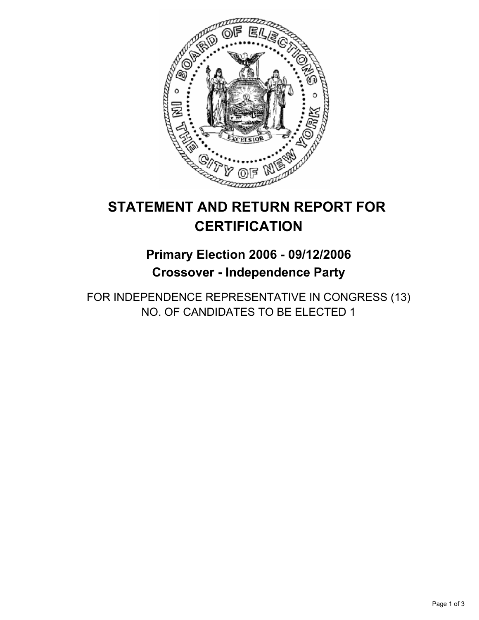

# **STATEMENT AND RETURN REPORT FOR CERTIFICATION**

## **Primary Election 2006 - 09/12/2006 Crossover - Independence Party**

FOR INDEPENDENCE REPRESENTATIVE IN CONGRESS (13) NO. OF CANDIDATES TO BE ELECTED 1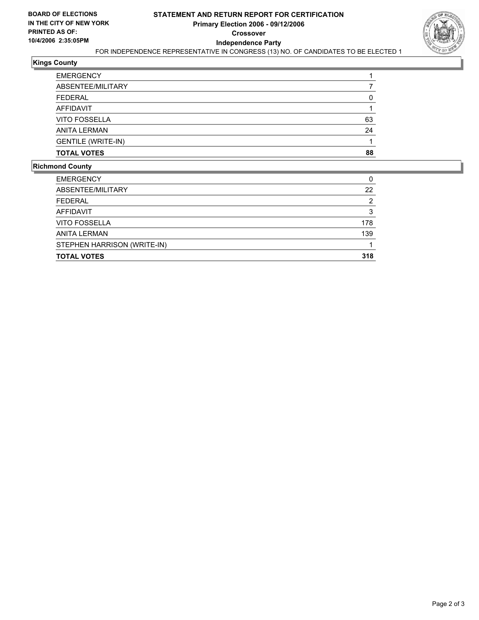

## **Kings County**

| <b>EMERGENCY</b>          |    |
|---------------------------|----|
| ABSENTEE/MILITARY         |    |
| <b>FEDERAL</b>            |    |
| AFFIDAVIT                 |    |
| <b>VITO FOSSELLA</b>      | 63 |
| <b>ANITA LERMAN</b>       | 24 |
| <b>GENTILE (WRITE-IN)</b> |    |
| <b>TOTAL VOTES</b>        | 88 |

#### **Richmond County**

| <b>EMERGENCY</b>            |     |
|-----------------------------|-----|
| ABSENTEE/MILITARY           | 22  |
| <b>FEDERAL</b>              |     |
| <b>AFFIDAVIT</b>            | 3   |
| <b>VITO FOSSELLA</b>        | 178 |
| <b>ANITA LERMAN</b>         | 139 |
| STEPHEN HARRISON (WRITE-IN) |     |
| <b>TOTAL VOTES</b>          | 318 |